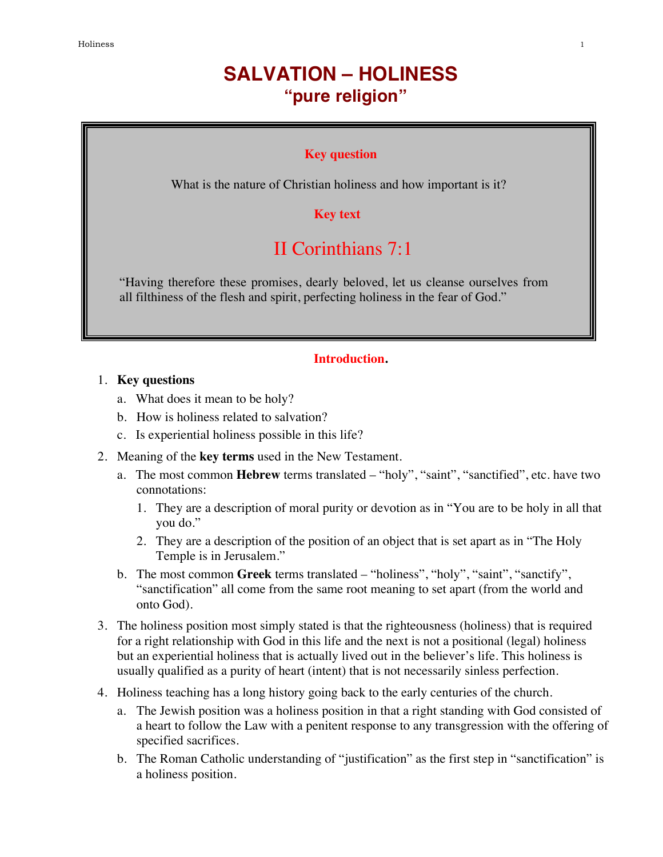# **SALVATION – HOLINESS "pure religion"**

#### **Key question**

What is the nature of Christian holiness and how important is it?

**Key text**

## II Corinthians 7:1

"Having therefore these promises, dearly beloved, let us cleanse ourselves from all filthiness of the flesh and spirit, perfecting holiness in the fear of God."

#### **Introduction.**

### 1. **Key questions**

- a. What does it mean to be holy?
- b. How is holiness related to salvation?
- c. Is experiential holiness possible in this life?
- 2. Meaning of the **key terms** used in the New Testament.
	- a. The most common **Hebrew** terms translated "holy", "saint", "sanctified", etc. have two connotations:
		- 1. They are a description of moral purity or devotion as in "You are to be holy in all that you do."
		- 2. They are a description of the position of an object that is set apart as in "The Holy Temple is in Jerusalem."
	- b. The most common **Greek** terms translated "holiness", "holy", "saint", "sanctify", "sanctification" all come from the same root meaning to set apart (from the world and onto God).
- 3. The holiness position most simply stated is that the righteousness (holiness) that is required for a right relationship with God in this life and the next is not a positional (legal) holiness but an experiential holiness that is actually lived out in the believer's life. This holiness is usually qualified as a purity of heart (intent) that is not necessarily sinless perfection.
- 4. Holiness teaching has a long history going back to the early centuries of the church.
	- a. The Jewish position was a holiness position in that a right standing with God consisted of a heart to follow the Law with a penitent response to any transgression with the offering of specified sacrifices.
	- b. The Roman Catholic understanding of "justification" as the first step in "sanctification" is a holiness position.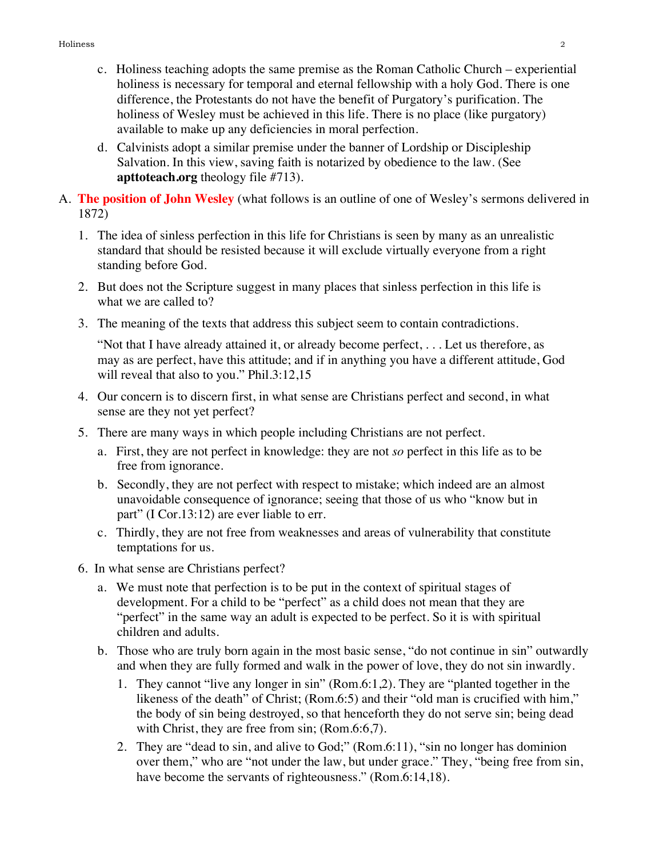- c. Holiness teaching adopts the same premise as the Roman Catholic Church experiential holiness is necessary for temporal and eternal fellowship with a holy God. There is one difference, the Protestants do not have the benefit of Purgatory's purification. The holiness of Wesley must be achieved in this life. There is no place (like purgatory) available to make up any deficiencies in moral perfection.
- d. Calvinists adopt a similar premise under the banner of Lordship or Discipleship Salvation. In this view, saving faith is notarized by obedience to the law. (See **apttoteach.org** theology file #713).
- A. **The position of John Wesley** (what follows is an outline of one of Wesley's sermons delivered in 1872)
	- 1. The idea of sinless perfection in this life for Christians is seen by many as an unrealistic standard that should be resisted because it will exclude virtually everyone from a right standing before God.
	- 2. But does not the Scripture suggest in many places that sinless perfection in this life is what we are called to?
	- 3. The meaning of the texts that address this subject seem to contain contradictions.

"Not that I have already attained it, or already become perfect, . . . Let us therefore, as may as are perfect, have this attitude; and if in anything you have a different attitude, God will reveal that also to you." Phil.3:12,15

- 4. Our concern is to discern first, in what sense are Christians perfect and second, in what sense are they not yet perfect?
- 5. There are many ways in which people including Christians are not perfect.
	- a. First, they are not perfect in knowledge: they are not *so* perfect in this life as to be free from ignorance.
	- b. Secondly, they are not perfect with respect to mistake; which indeed are an almost unavoidable consequence of ignorance; seeing that those of us who "know but in part" (I Cor.13:12) are ever liable to err.
	- c. Thirdly, they are not free from weaknesses and areas of vulnerability that constitute temptations for us.
- 6. In what sense are Christians perfect?
	- a. We must note that perfection is to be put in the context of spiritual stages of development. For a child to be "perfect" as a child does not mean that they are "perfect" in the same way an adult is expected to be perfect. So it is with spiritual children and adults.
	- b. Those who are truly born again in the most basic sense, "do not continue in sin" outwardly and when they are fully formed and walk in the power of love, they do not sin inwardly.
		- 1. They cannot "live any longer in sin" (Rom.6:1,2). They are "planted together in the likeness of the death" of Christ; (Rom.6:5) and their "old man is crucified with him," the body of sin being destroyed, so that henceforth they do not serve sin; being dead with Christ, they are free from sin; (Rom.6:6,7).
		- 2. They are "dead to sin, and alive to God;" (Rom.6:11), "sin no longer has dominion over them," who are "not under the law, but under grace." They, "being free from sin, have become the servants of righteousness." (Rom.6:14,18).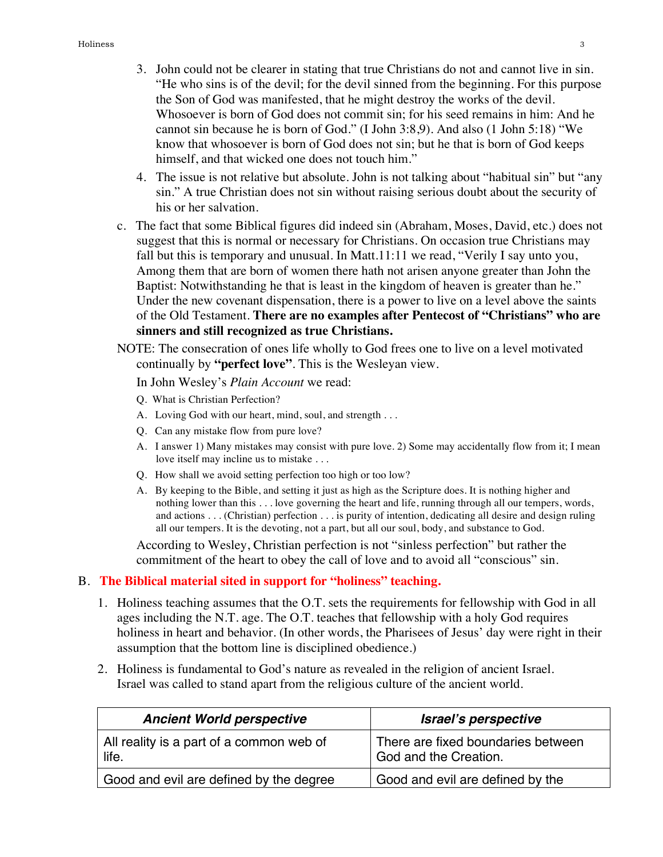- 3. John could not be clearer in stating that true Christians do not and cannot live in sin. "He who sins is of the devil; for the devil sinned from the beginning. For this purpose the Son of God was manifested, that he might destroy the works of the devil. Whosoever is born of God does not commit sin; for his seed remains in him: And he cannot sin because he is born of God." (I John 3:8,9). And also (1 John 5:18) "We know that whosoever is born of God does not sin; but he that is born of God keeps himself, and that wicked one does not touch him."
- 4. The issue is not relative but absolute. John is not talking about "habitual sin" but "any sin." A true Christian does not sin without raising serious doubt about the security of his or her salvation.
- c. The fact that some Biblical figures did indeed sin (Abraham, Moses, David, etc.) does not suggest that this is normal or necessary for Christians. On occasion true Christians may fall but this is temporary and unusual. In Matt.11:11 we read, "Verily I say unto you, Among them that are born of women there hath not arisen anyone greater than John the Baptist: Notwithstanding he that is least in the kingdom of heaven is greater than he." Under the new covenant dispensation, there is a power to live on a level above the saints of the Old Testament. **There are no examples after Pentecost of "Christians" who are sinners and still recognized as true Christians.**
- NOTE: The consecration of ones life wholly to God frees one to live on a level motivated continually by **"perfect love"**. This is the Wesleyan view.

In John Wesley's *Plain Account* we read:

- Q. What is Christian Perfection?
- A. Loving God with our heart, mind, soul, and strength . . .
- Q. Can any mistake flow from pure love?
- A. I answer 1) Many mistakes may consist with pure love. 2) Some may accidentally flow from it; I mean love itself may incline us to mistake . . .
- Q. How shall we avoid setting perfection too high or too low?
- A. By keeping to the Bible, and setting it just as high as the Scripture does. It is nothing higher and nothing lower than this . . . love governing the heart and life, running through all our tempers, words, and actions . . . (Christian) perfection . . . is purity of intention, dedicating all desire and design ruling all our tempers. It is the devoting, not a part, but all our soul, body, and substance to God.

According to Wesley, Christian perfection is not "sinless perfection" but rather the commitment of the heart to obey the call of love and to avoid all "conscious" sin.

#### B. **The Biblical material sited in support for "holiness" teaching.**

- 1. Holiness teaching assumes that the O.T. sets the requirements for fellowship with God in all ages including the N.T. age. The O.T. teaches that fellowship with a holy God requires holiness in heart and behavior. (In other words, the Pharisees of Jesus' day were right in their assumption that the bottom line is disciplined obedience.)
- 2. Holiness is fundamental to God's nature as revealed in the religion of ancient Israel. Israel was called to stand apart from the religious culture of the ancient world.

| <b>Ancient World perspective</b>                  | Israel's perspective                                        |
|---------------------------------------------------|-------------------------------------------------------------|
| All reality is a part of a common web of<br>life. | There are fixed boundaries between<br>God and the Creation. |
| Good and evil are defined by the degree           | Good and evil are defined by the                            |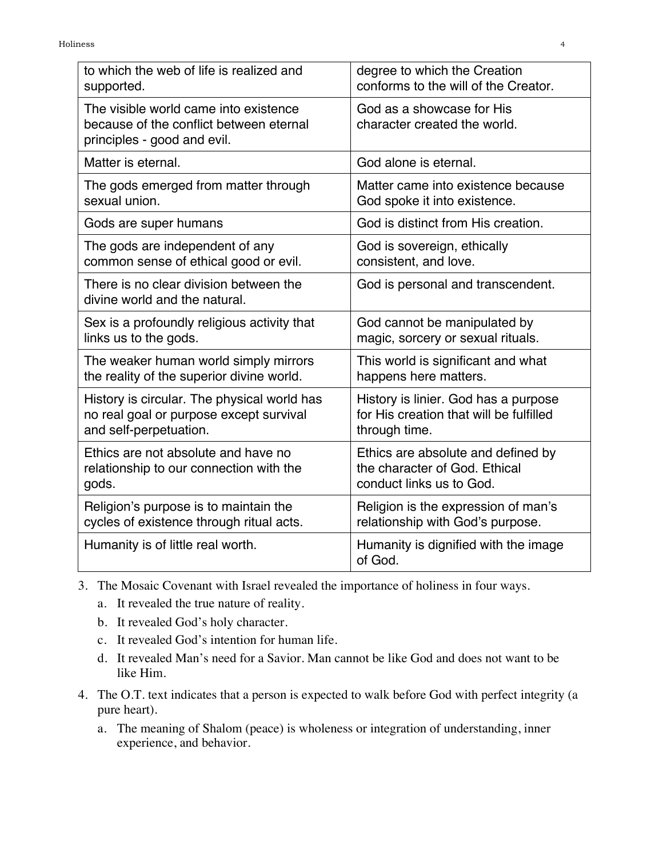| to which the web of life is realized and                                                                        | degree to which the Creation                              |  |
|-----------------------------------------------------------------------------------------------------------------|-----------------------------------------------------------|--|
| supported.                                                                                                      | conforms to the will of the Creator.                      |  |
| The visible world came into existence<br>because of the conflict between eternal<br>principles - good and evil. | God as a showcase for His<br>character created the world. |  |
| Matter is eternal.                                                                                              | God alone is eternal.                                     |  |
| The gods emerged from matter through                                                                            | Matter came into existence because                        |  |
| sexual union.                                                                                                   | God spoke it into existence.                              |  |
| Gods are super humans                                                                                           | God is distinct from His creation.                        |  |
| The gods are independent of any                                                                                 | God is sovereign, ethically                               |  |
| common sense of ethical good or evil.                                                                           | consistent, and love.                                     |  |
| There is no clear division between the<br>divine world and the natural.                                         | God is personal and transcendent.                         |  |
| Sex is a profoundly religious activity that                                                                     | God cannot be manipulated by                              |  |
| links us to the gods.                                                                                           | magic, sorcery or sexual rituals.                         |  |
| The weaker human world simply mirrors                                                                           | This world is significant and what                        |  |
| the reality of the superior divine world.                                                                       | happens here matters.                                     |  |
| History is circular. The physical world has                                                                     | History is linier. God has a purpose                      |  |
| no real goal or purpose except survival                                                                         | for His creation that will be fulfilled                   |  |
| and self-perpetuation.                                                                                          | through time.                                             |  |
| Ethics are not absolute and have no                                                                             | Ethics are absolute and defined by                        |  |
| relationship to our connection with the                                                                         | the character of God. Ethical                             |  |
| gods.                                                                                                           | conduct links us to God.                                  |  |
| Religion's purpose is to maintain the                                                                           | Religion is the expression of man's                       |  |
| cycles of existence through ritual acts.                                                                        | relationship with God's purpose.                          |  |
| Humanity is of little real worth.                                                                               | Humanity is dignified with the image<br>of God.           |  |

- 3. The Mosaic Covenant with Israel revealed the importance of holiness in four ways.
	- a. It revealed the true nature of reality.
	- b. It revealed God's holy character.
	- c. It revealed God's intention for human life.
	- d. It revealed Man's need for a Savior. Man cannot be like God and does not want to be like Him.
- 4. The O.T. text indicates that a person is expected to walk before God with perfect integrity (a pure heart).
	- a. The meaning of Shalom (peace) is wholeness or integration of understanding, inner experience, and behavior.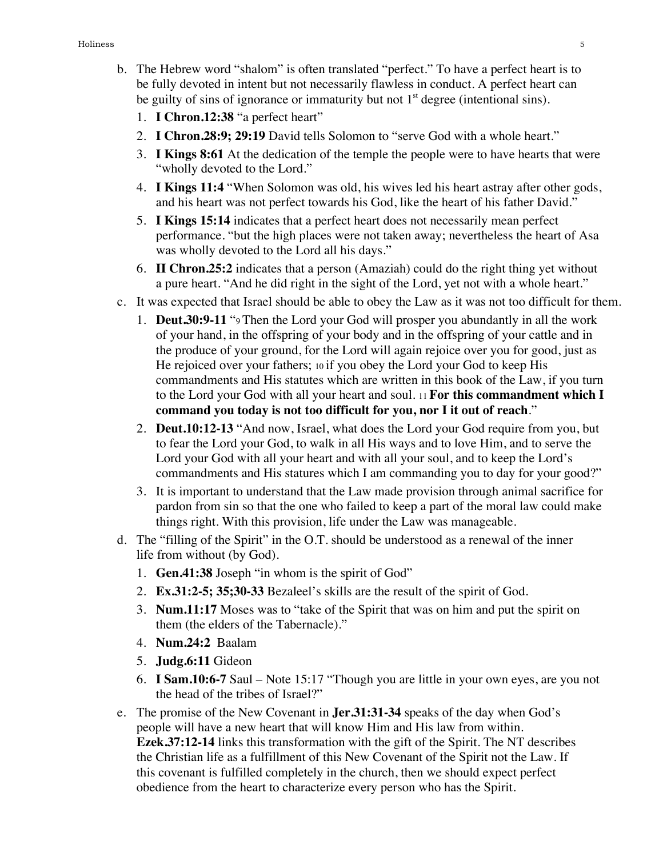- b. The Hebrew word "shalom" is often translated "perfect." To have a perfect heart is to be fully devoted in intent but not necessarily flawless in conduct. A perfect heart can be guilty of sins of ignorance or immaturity but not  $1<sup>st</sup>$  degree (intentional sins).
	- 1. **I Chron.12:38** "a perfect heart"
	- 2. **I Chron.28:9; 29:19** David tells Solomon to "serve God with a whole heart."
	- 3. **I Kings 8:61** At the dedication of the temple the people were to have hearts that were "wholly devoted to the Lord."
	- 4. **I Kings 11:4** "When Solomon was old, his wives led his heart astray after other gods, and his heart was not perfect towards his God, like the heart of his father David."
	- 5. **I Kings 15:14** indicates that a perfect heart does not necessarily mean perfect performance. "but the high places were not taken away; nevertheless the heart of Asa was wholly devoted to the Lord all his days."
	- 6. **II Chron.25:2** indicates that a person (Amaziah) could do the right thing yet without a pure heart. "And he did right in the sight of the Lord, yet not with a whole heart."
- c. It was expected that Israel should be able to obey the Law as it was not too difficult for them.
	- 1. **Deut.30:9-11** "9 Then the Lord your God will prosper you abundantly in all the work of your hand, in the offspring of your body and in the offspring of your cattle and in the produce of your ground, for the Lord will again rejoice over you for good, just as He rejoiced over your fathers; 10 if you obey the Lord your God to keep His commandments and His statutes which are written in this book of the Law, if you turn to the Lord your God with all your heart and soul. 11 **For this commandment which I command you today is not too difficult for you, nor I it out of reach**."
	- 2. **Deut.10:12-13** "And now, Israel, what does the Lord your God require from you, but to fear the Lord your God, to walk in all His ways and to love Him, and to serve the Lord your God with all your heart and with all your soul, and to keep the Lord's commandments and His statures which I am commanding you to day for your good?"
	- 3. It is important to understand that the Law made provision through animal sacrifice for pardon from sin so that the one who failed to keep a part of the moral law could make things right. With this provision, life under the Law was manageable.
- d. The "filling of the Spirit" in the O.T. should be understood as a renewal of the inner life from without (by God).
	- 1. **Gen.41:38** Joseph "in whom is the spirit of God"
	- 2. **Ex.31:2-5; 35;30-33** Bezaleel's skills are the result of the spirit of God.
	- 3. **Num.11:17** Moses was to "take of the Spirit that was on him and put the spirit on them (the elders of the Tabernacle)."
	- 4. **Num.24:2** Baalam
	- 5. **Judg.6:11** Gideon
	- 6. **I Sam.10:6-7** Saul Note 15:17 "Though you are little in your own eyes, are you not the head of the tribes of Israel?"
- e. The promise of the New Covenant in **Jer.31:31-34** speaks of the day when God's people will have a new heart that will know Him and His law from within. **Ezek.37:12-14** links this transformation with the gift of the Spirit. The NT describes the Christian life as a fulfillment of this New Covenant of the Spirit not the Law. If this covenant is fulfilled completely in the church, then we should expect perfect obedience from the heart to characterize every person who has the Spirit.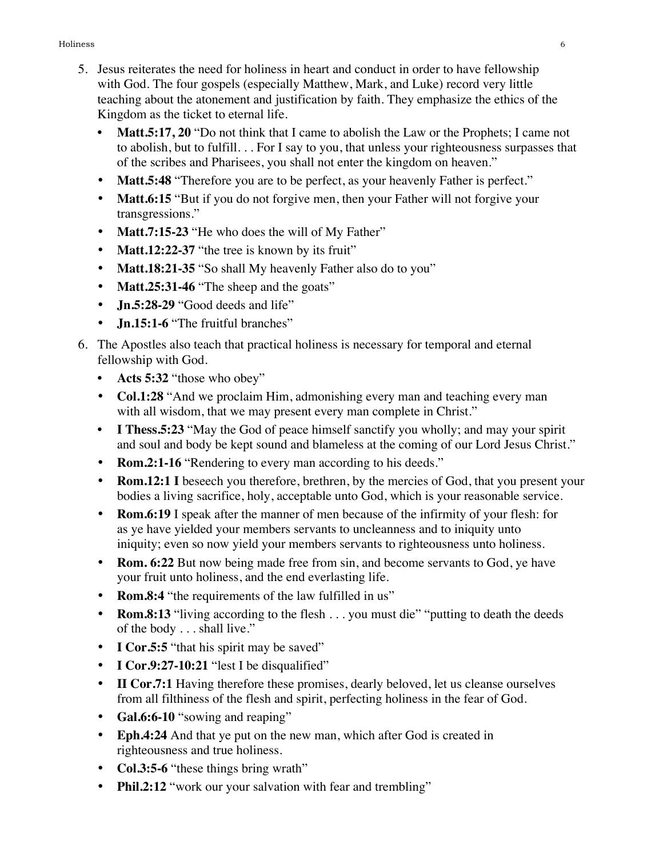#### Holiness 6

- 5. Jesus reiterates the need for holiness in heart and conduct in order to have fellowship with God. The four gospels (especially Matthew, Mark, and Luke) record very little teaching about the atonement and justification by faith. They emphasize the ethics of the Kingdom as the ticket to eternal life.
	- **Matt.5:17, 20** "Do not think that I came to abolish the Law or the Prophets; I came not to abolish, but to fulfill. . . For I say to you, that unless your righteousness surpasses that of the scribes and Pharisees, you shall not enter the kingdom on heaven."
	- **Matt.5:48** "Therefore you are to be perfect, as your heavenly Father is perfect."
	- **Matt.6:15** "But if you do not forgive men, then your Father will not forgive your transgressions."
	- **Matt.7:15-23** "He who does the will of My Father"
	- **Matt.12:22-37** "the tree is known by its fruit"
	- **Matt.18:21-35** "So shall My heavenly Father also do to you"
	- **Matt.25:31-46** "The sheep and the goats"
	- **Jn.5:28-29** "Good deeds and life"
	- **Jn.15:1-6** "The fruitful branches"
- 6. The Apostles also teach that practical holiness is necessary for temporal and eternal fellowship with God.
	- **• Acts 5:32** "those who obey"
	- **Col.1:28** "And we proclaim Him, admonishing every man and teaching every man with all wisdom, that we may present every man complete in Christ."
	- **• I Thess.5:23** "May the God of peace himself sanctify you wholly; and may your spirit and soul and body be kept sound and blameless at the coming of our Lord Jesus Christ."
	- **Rom.2:1-16** "Rendering to every man according to his deeds."
	- **Rom.12:1 I** beseech you therefore, brethren, by the mercies of God, that you present your bodies a living sacrifice, holy, acceptable unto God, which is your reasonable service.
	- **Rom.6:19** I speak after the manner of men because of the infirmity of your flesh: for as ye have yielded your members servants to uncleanness and to iniquity unto iniquity; even so now yield your members servants to righteousness unto holiness.
	- **Rom. 6:22** But now being made free from sin, and become servants to God, ye have your fruit unto holiness, and the end everlasting life.
	- **Rom.8:4** "the requirements of the law fulfilled in us"
	- **Rom.8:13** "living according to the flesh . . . you must die" "putting to death the deeds of the body . . . shall live."
	- **I Cor.5:5** "that his spirit may be saved"
	- **I Cor.9:27-10:21** "lest I be disqualified"
	- **II Cor.7:1** Having therefore these promises, dearly beloved, let us cleanse ourselves from all filthiness of the flesh and spirit, perfecting holiness in the fear of God.
	- **Gal.6:6-10** "sowing and reaping"
	- **Eph.4:24** And that ye put on the new man, which after God is created in righteousness and true holiness.
	- **Col.3:5-6** "these things bring wrath"
	- **Phil.2:12** "work our your salvation with fear and trembling"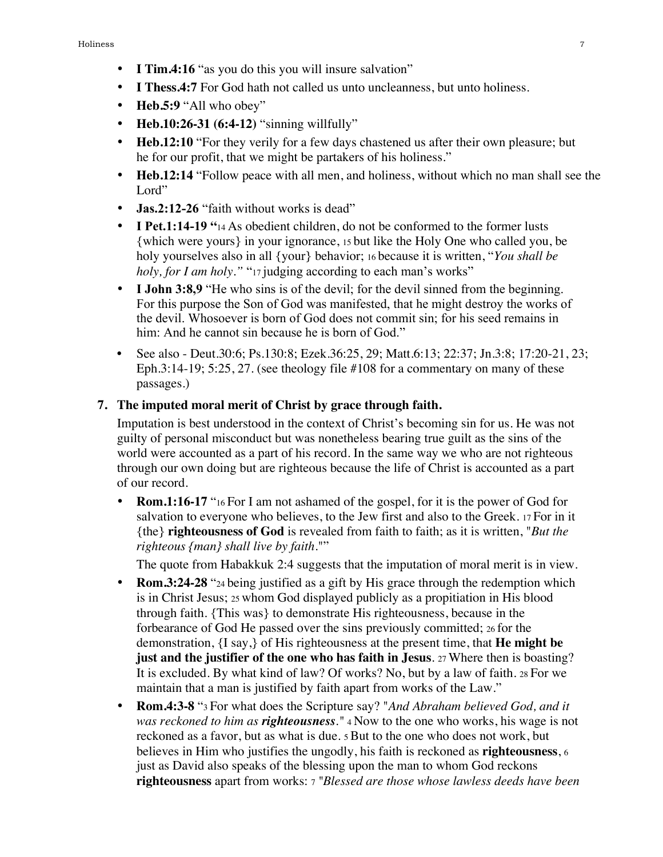- **I Tim.4:16** "as you do this you will insure salvation"
- **I Thess.4:7** For God hath not called us unto uncleanness, but unto holiness.
- **Heb.5:9** "All who obey"
- **Heb.10:26-31 (6:4-12)** "sinning willfully"
- **Heb.12:10** "For they verily for a few days chastened us after their own pleasure; but he for our profit, that we might be partakers of his holiness."
- **Heb.12:14** "Follow peace with all men, and holiness, without which no man shall see the Lord"
- **Jas.2:12-26** "faith without works is dead"
- **I Pet.1:14-19** "14 As obedient children, do not be conformed to the former lusts {which were yours} in your ignorance, 15 but like the Holy One who called you, be holy yourselves also in all {your} behavior; 16 because it is written, "*You shall be holy, for I am holy.*" "17 judging according to each man's works"
- **I John 3:8.9** "He who sins is of the devil; for the devil sinned from the beginning. For this purpose the Son of God was manifested, that he might destroy the works of the devil. Whosoever is born of God does not commit sin; for his seed remains in him: And he cannot sin because he is born of God."
- See also Deut.30:6; Ps.130:8; Ezek.36:25, 29; Matt.6:13; 22:37; Jn.3:8; 17:20-21, 23; Eph.3:14-19; 5:25, 27. (see theology file #108 for a commentary on many of these passages.)

#### **7. The imputed moral merit of Christ by grace through faith.**

Imputation is best understood in the context of Christ's becoming sin for us. He was not guilty of personal misconduct but was nonetheless bearing true guilt as the sins of the world were accounted as a part of his record. In the same way we who are not righteous through our own doing but are righteous because the life of Christ is accounted as a part of our record.

**Rom.1:16-17** "16 For I am not ashamed of the gospel, for it is the power of God for salvation to everyone who believes, to the Jew first and also to the Greek. 17 For in it {the} **righteousness of God** is revealed from faith to faith; as it is written, "*But the righteous {man} shall live by faith*.""

The quote from Habakkuk 2:4 suggests that the imputation of moral merit is in view.

- **Rom.3:24-28** "24 being justified as a gift by His grace through the redemption which is in Christ Jesus; 25 whom God displayed publicly as a propitiation in His blood through faith. {This was} to demonstrate His righteousness, because in the forbearance of God He passed over the sins previously committed; 26 for the demonstration, {I say,} of His righteousness at the present time, that **He might be just and the justifier of the one who has faith in Jesus**. 27 Where then is boasting? It is excluded. By what kind of law? Of works? No, but by a law of faith. 28 For we maintain that a man is justified by faith apart from works of the Law."
- **Rom.4:3-8** "3 For what does the Scripture say? "*And Abraham believed God, and it was reckoned to him as righteousness."* 4 Now to the one who works, his wage is not reckoned as a favor, but as what is due. 5 But to the one who does not work, but believes in Him who justifies the ungodly, his faith is reckoned as **righteousness**, 6 just as David also speaks of the blessing upon the man to whom God reckons **righteousness** apart from works: 7 *"Blessed are those whose lawless deeds have been*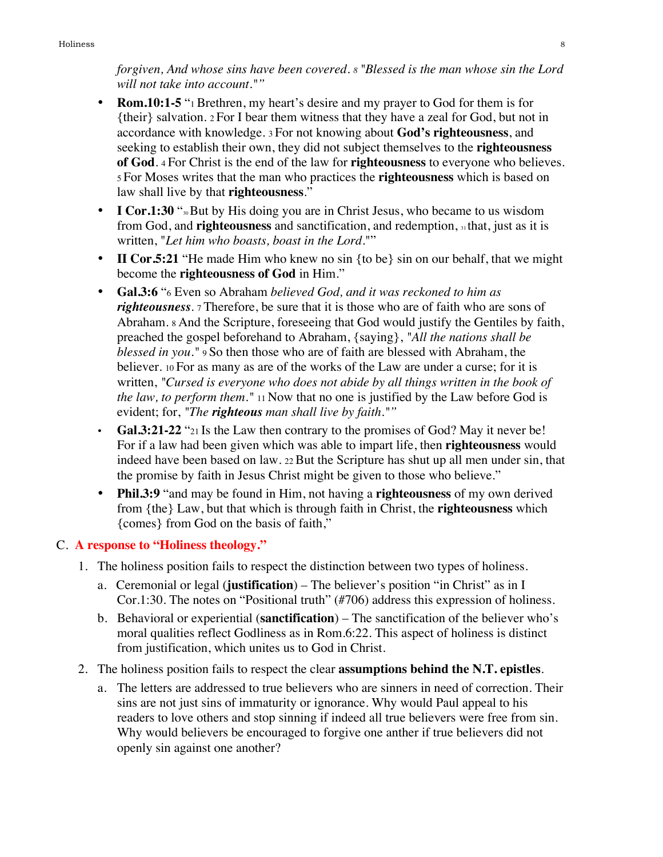*forgiven, And whose sins have been covered. 8 "Blessed is the man whose sin the Lord will not take into account.""*

- **Rom.10:1-5** "1 Brethren, my heart's desire and my prayer to God for them is for {their} salvation. 2 For I bear them witness that they have a zeal for God, but not in accordance with knowledge. 3 For not knowing about **God's righteousness**, and seeking to establish their own, they did not subject themselves to the **righteousness of God**. 4 For Christ is the end of the law for **righteousness** to everyone who believes. 5 For Moses writes that the man who practices the **righteousness** which is based on law shall live by that **righteousness**."
- **I Cor.1:30** "<sup>30</sup> But by His doing you are in Christ Jesus, who became to us wisdom from God, and **righteousness** and sanctification, and redemption, 31 that, just as it is written, "*Let him who boasts, boast in the Lord*.""
- **II Cor.5:21** "He made Him who knew no sin {to be} sin on our behalf, that we might become the **righteousness of God** in Him."
- **Gal.3:6** "6 Even so Abraham *believed God, and it was reckoned to him as righteousness*. 7 Therefore, be sure that it is those who are of faith who are sons of Abraham. 8 And the Scripture, foreseeing that God would justify the Gentiles by faith, preached the gospel beforehand to Abraham, {saying}, *"All the nations shall be blessed in you."* 9 So then those who are of faith are blessed with Abraham, the believer. 10 For as many as are of the works of the Law are under a curse; for it is written, *"Cursed is everyone who does not abide by all things written in the book of the law, to perform them."* 11 Now that no one is justified by the Law before God is evident; for, *"The righteous man shall live by faith.""*
- **Gal.3:21-22** "21 Is the Law then contrary to the promises of God? May it never be! For if a law had been given which was able to impart life, then **righteousness** would indeed have been based on law. 22 But the Scripture has shut up all men under sin, that the promise by faith in Jesus Christ might be given to those who believe."
- **Phil.3:9** "and may be found in Him, not having a **righteousness** of my own derived from {the} Law, but that which is through faith in Christ, the **righteousness** which {comes} from God on the basis of faith,"

## C. **A response to "Holiness theology."**

- 1. The holiness position fails to respect the distinction between two types of holiness.
	- a. Ceremonial or legal (**justification**) The believer's position "in Christ" as in I Cor.1:30. The notes on "Positional truth" (#706) address this expression of holiness.
	- b. Behavioral or experiential (**sanctification**) The sanctification of the believer who's moral qualities reflect Godliness as in Rom.6:22. This aspect of holiness is distinct from justification, which unites us to God in Christ.
- 2. The holiness position fails to respect the clear **assumptions behind the N.T. epistles**.
	- a. The letters are addressed to true believers who are sinners in need of correction. Their sins are not just sins of immaturity or ignorance. Why would Paul appeal to his readers to love others and stop sinning if indeed all true believers were free from sin. Why would believers be encouraged to forgive one anther if true believers did not openly sin against one another?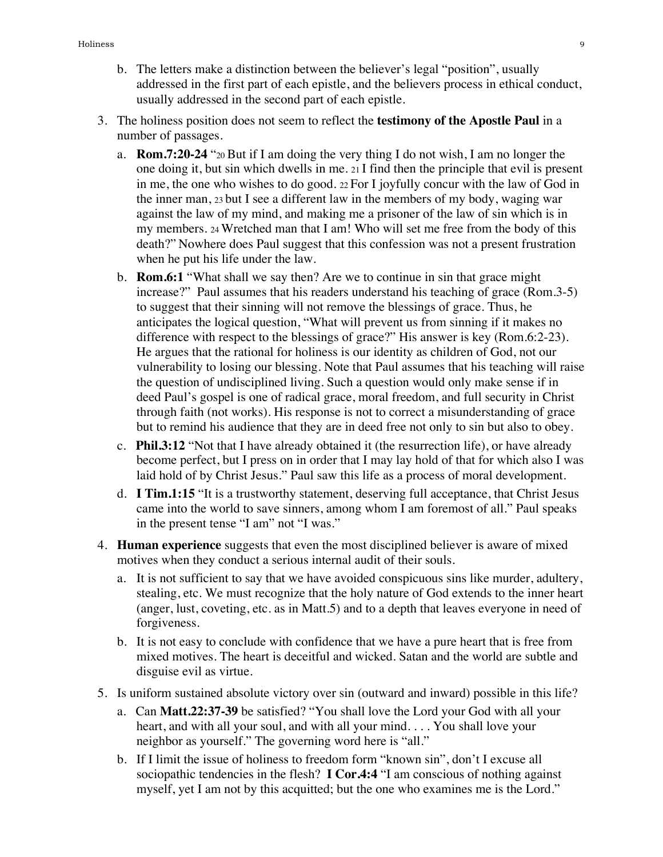- b. The letters make a distinction between the believer's legal "position", usually addressed in the first part of each epistle, and the believers process in ethical conduct, usually addressed in the second part of each epistle.
- 3. The holiness position does not seem to reflect the **testimony of the Apostle Paul** in a number of passages.
	- a. **Rom.7:20-24** "20 But if I am doing the very thing I do not wish, I am no longer the one doing it, but sin which dwells in me.  $21 \text{ I}$  find then the principle that evil is present in me, the one who wishes to do good. 22 For I joyfully concur with the law of God in the inner man, 23 but I see a different law in the members of my body, waging war against the law of my mind, and making me a prisoner of the law of sin which is in my members. 24 Wretched man that I am! Who will set me free from the body of this death?" Nowhere does Paul suggest that this confession was not a present frustration when he put his life under the law.
	- b. **Rom.6:1** "What shall we say then? Are we to continue in sin that grace might increase?" Paul assumes that his readers understand his teaching of grace (Rom.3-5) to suggest that their sinning will not remove the blessings of grace. Thus, he anticipates the logical question, "What will prevent us from sinning if it makes no difference with respect to the blessings of grace?" His answer is key (Rom.6:2-23). He argues that the rational for holiness is our identity as children of God, not our vulnerability to losing our blessing. Note that Paul assumes that his teaching will raise the question of undisciplined living. Such a question would only make sense if in deed Paul's gospel is one of radical grace, moral freedom, and full security in Christ through faith (not works). His response is not to correct a misunderstanding of grace but to remind his audience that they are in deed free not only to sin but also to obey.
	- c. **Phil.3:12** "Not that I have already obtained it (the resurrection life), or have already become perfect, but I press on in order that I may lay hold of that for which also I was laid hold of by Christ Jesus." Paul saw this life as a process of moral development.
	- d. **I Tim.1:15** "It is a trustworthy statement, deserving full acceptance, that Christ Jesus came into the world to save sinners, among whom I am foremost of all." Paul speaks in the present tense "I am" not "I was."
- 4. **Human experience** suggests that even the most disciplined believer is aware of mixed motives when they conduct a serious internal audit of their souls.
	- a. It is not sufficient to say that we have avoided conspicuous sins like murder, adultery, stealing, etc. We must recognize that the holy nature of God extends to the inner heart (anger, lust, coveting, etc. as in Matt.5) and to a depth that leaves everyone in need of forgiveness.
	- b. It is not easy to conclude with confidence that we have a pure heart that is free from mixed motives. The heart is deceitful and wicked. Satan and the world are subtle and disguise evil as virtue.
- 5. Is uniform sustained absolute victory over sin (outward and inward) possible in this life?
	- a. Can **Matt.22:37-39** be satisfied? "You shall love the Lord your God with all your heart, and with all your soul, and with all your mind. . . . You shall love your neighbor as yourself." The governing word here is "all."
	- b. If I limit the issue of holiness to freedom form "known sin", don't I excuse all sociopathic tendencies in the flesh? **I Cor.4:4** "I am conscious of nothing against myself, yet I am not by this acquitted; but the one who examines me is the Lord."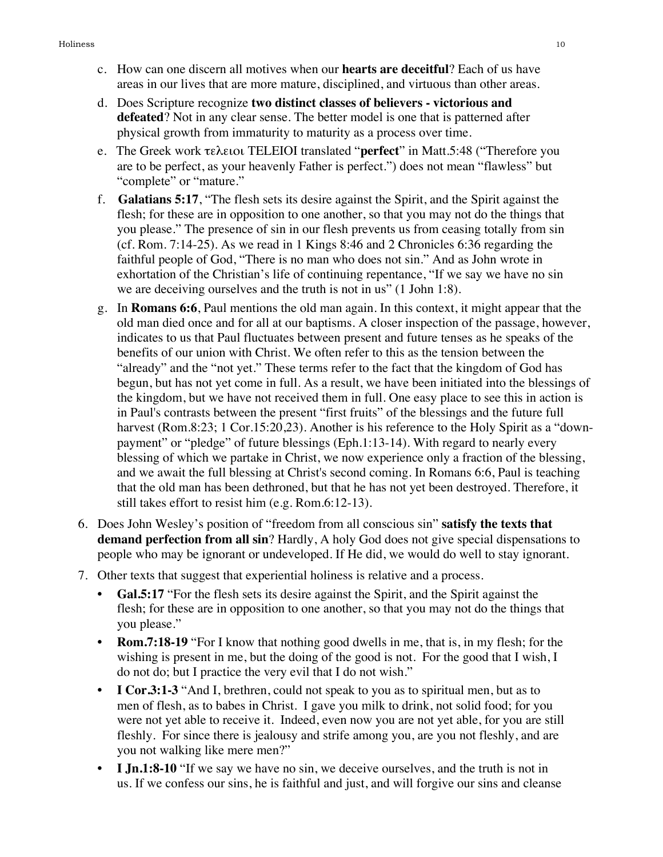- c. How can one discern all motives when our **hearts are deceitful**? Each of us have areas in our lives that are more mature, disciplined, and virtuous than other areas.
- d. Does Scripture recognize **two distinct classes of believers victorious and defeated**? Not in any clear sense. The better model is one that is patterned after physical growth from immaturity to maturity as a process over time.
- e. The Greek work τελειοι TELEIOI translated "**perfect**" in Matt.5:48 ("Therefore you are to be perfect, as your heavenly Father is perfect.") does not mean "flawless" but "complete" or "mature."
- f. **Galatians 5:17**, "The flesh sets its desire against the Spirit, and the Spirit against the flesh; for these are in opposition to one another, so that you may not do the things that you please." The presence of sin in our flesh prevents us from ceasing totally from sin (cf. Rom. 7:14-25). As we read in 1 Kings 8:46 and 2 Chronicles 6:36 regarding the faithful people of God, "There is no man who does not sin." And as John wrote in exhortation of the Christian's life of continuing repentance, "If we say we have no sin we are deceiving ourselves and the truth is not in us" (1 John 1:8).
- g. In **Romans 6:6**, Paul mentions the old man again. In this context, it might appear that the old man died once and for all at our baptisms. A closer inspection of the passage, however, indicates to us that Paul fluctuates between present and future tenses as he speaks of the benefits of our union with Christ. We often refer to this as the tension between the "already" and the "not yet." These terms refer to the fact that the kingdom of God has begun, but has not yet come in full. As a result, we have been initiated into the blessings of the kingdom, but we have not received them in full. One easy place to see this in action is in Paul's contrasts between the present "first fruits" of the blessings and the future full harvest (Rom.8:23; 1 Cor.15:20,23). Another is his reference to the Holy Spirit as a "downpayment" or "pledge" of future blessings (Eph.1:13-14). With regard to nearly every blessing of which we partake in Christ, we now experience only a fraction of the blessing, and we await the full blessing at Christ's second coming. In Romans 6:6, Paul is teaching that the old man has been dethroned, but that he has not yet been destroyed. Therefore, it still takes effort to resist him (e.g. Rom.6:12-13).
- 6. Does John Wesley's position of "freedom from all conscious sin" **satisfy the texts that demand perfection from all sin**? Hardly, A holy God does not give special dispensations to people who may be ignorant or undeveloped. If He did, we would do well to stay ignorant.
- 7. Other texts that suggest that experiential holiness is relative and a process.
	- **Gal.5:17** "For the flesh sets its desire against the Spirit, and the Spirit against the flesh; for these are in opposition to one another, so that you may not do the things that you please."
	- **• Rom.7:18-19** "For I know that nothing good dwells in me, that is, in my flesh; for the wishing is present in me, but the doing of the good is not. For the good that I wish, I do not do; but I practice the very evil that I do not wish."
	- **• I Cor.3:1-3** "And I, brethren, could not speak to you as to spiritual men, but as to men of flesh, as to babes in Christ. I gave you milk to drink, not solid food; for you were not yet able to receive it. Indeed, even now you are not yet able, for you are still fleshly. For since there is jealousy and strife among you, are you not fleshly, and are you not walking like mere men?"
	- **• I Jn.1:8-10** "If we say we have no sin, we deceive ourselves, and the truth is not in us. If we confess our sins, he is faithful and just, and will forgive our sins and cleanse